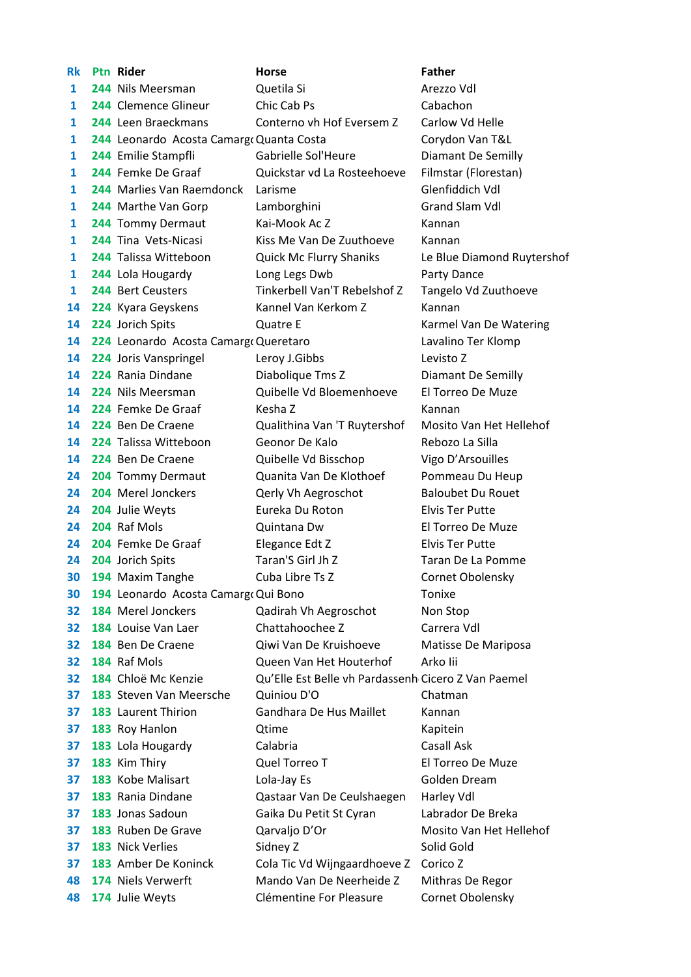| Rk | <b>Ptn Rider</b>                         | <b>Horse</b>                                        | <b>Father</b>              |
|----|------------------------------------------|-----------------------------------------------------|----------------------------|
| 1  | 244 Nils Meersman                        | Quetila Si                                          | Arezzo Vdl                 |
| 1  | 244 Clemence Glineur                     | Chic Cab Ps                                         | Cabachon                   |
| 1  | 244 Leen Braeckmans                      | Conterno vh Hof Eversem Z                           | Carlow Vd Helle            |
| 1  | 244 Leonardo Acosta Camargo Quanta Costa |                                                     | Corydon Van T&L            |
| 1  | 244 Emilie Stampfli                      | Gabrielle Sol'Heure                                 | Diamant De Semilly         |
| 1  | 244 Femke De Graaf                       | Quickstar vd La Rosteehoeve                         | Filmstar (Florestan)       |
| 1  | 244 Marlies Van Raemdonck                | Larisme                                             | Glenfiddich Vdl            |
| 1  | 244 Marthe Van Gorp                      | Lamborghini                                         | Grand Slam Vdl             |
| 1  | 244 Tommy Dermaut                        | Kai-Mook Ac Z                                       | Kannan                     |
| 1  | 244 Tina Vets-Nicasi                     | Kiss Me Van De Zuuthoeve                            | Kannan                     |
| 1  | 244 Talissa Witteboon                    | Quick Mc Flurry Shaniks                             | Le Blue Diamond Ruytershof |
| 1  | 244 Lola Hougardy                        | Long Legs Dwb                                       | Party Dance                |
| 1  | 244 Bert Ceusters                        | Tinkerbell Van'T Rebelshof Z                        | Tangelo Vd Zuuthoeve       |
| 14 | 224 Kyara Geyskens                       | Kannel Van Kerkom Z                                 | Kannan                     |
| 14 | 224 Jorich Spits                         | <b>Quatre E</b>                                     | Karmel Van De Watering     |
| 14 | 224 Leonardo Acosta Camargo Queretaro    |                                                     | Lavalino Ter Klomp         |
| 14 | 224 Joris Vanspringel                    | Leroy J.Gibbs                                       | Levisto Z                  |
| 14 | 224 Rania Dindane                        | Diabolique Tms Z                                    | Diamant De Semilly         |
| 14 | 224 Nils Meersman                        | Quibelle Vd Bloemenhoeve                            | El Torreo De Muze          |
| 14 | 224 Femke De Graaf                       | Kesha Z                                             | Kannan                     |
| 14 | 224 Ben De Craene                        | Qualithina Van 'T Ruytershof                        | Mosito Van Het Hellehof    |
| 14 | 224 Talissa Witteboon                    | Geonor De Kalo                                      | Rebozo La Silla            |
| 14 | 224 Ben De Craene                        | Quibelle Vd Bisschop                                | Vigo D'Arsouilles          |
| 24 | 204 Tommy Dermaut                        | Quanita Van De Klothoef                             | Pommeau Du Heup            |
| 24 | 204 Merel Jonckers                       | Qerly Vh Aegroschot                                 | <b>Baloubet Du Rouet</b>   |
| 24 | 204 Julie Weyts                          | Eureka Du Roton                                     | <b>Elvis Ter Putte</b>     |
| 24 | 204 Raf Mols                             | Quintana Dw                                         | El Torreo De Muze          |
| 24 | 204 Femke De Graaf                       | Elegance Edt Z                                      | <b>Elvis Ter Putte</b>     |
| 24 | 204 Jorich Spits                         | Taran'S Girl Jh Z                                   | Taran De La Pomme          |
| 30 | 194 Maxim Tanghe                         | Cuba Libre Ts Z                                     | Cornet Obolensky           |
| 30 | 194 Leonardo Acosta Camargo Qui Bono     |                                                     | Tonixe                     |
| 32 | 184 Merel Jonckers                       | Qadirah Vh Aegroschot                               | Non Stop                   |
| 32 | 184 Louise Van Laer                      | Chattahoochee Z                                     | Carrera Vdl                |
| 32 | 184 Ben De Craene                        | Qiwi Van De Kruishoeve                              | Matisse De Mariposa        |
| 32 | 184 Raf Mols                             | Queen Van Het Houterhof                             | Arko lii                   |
| 32 | 184 Chloë Mc Kenzie                      | Qu'Elle Est Belle vh Pardassenh Cicero Z Van Paemel |                            |
| 37 | 183 Steven Van Meersche                  | Quiniou D'O                                         | Chatman                    |
| 37 | 183 Laurent Thirion                      | Gandhara De Hus Maillet                             | Kannan                     |
| 37 | 183 Roy Hanlon                           | Qtime                                               | Kapitein                   |
| 37 | 183 Lola Hougardy                        | Calabria                                            | Casall Ask                 |
| 37 | 183 Kim Thiry                            | Quel Torreo T                                       | El Torreo De Muze          |
| 37 | 183 Kobe Malisart                        | Lola-Jay Es                                         | Golden Dream               |
| 37 | 183 Rania Dindane                        | Qastaar Van De Ceulshaegen                          | Harley Vdl                 |
| 37 | 183 Jonas Sadoun                         | Gaika Du Petit St Cyran                             | Labrador De Breka          |
| 37 | 183 Ruben De Grave                       | Qarvaljo D'Or                                       | Mosito Van Het Hellehof    |
| 37 | 183 Nick Verlies                         | Sidney Z                                            | Solid Gold                 |
| 37 | 183 Amber De Koninck                     | Cola Tic Vd Wijngaardhoeve Z                        | Corico Z                   |
| 48 | 174 Niels Verwerft                       | Mando Van De Neerheide Z                            | Mithras De Regor           |
| 48 | 174 Julie Weyts                          | Clémentine For Pleasure                             | Cornet Obolensky           |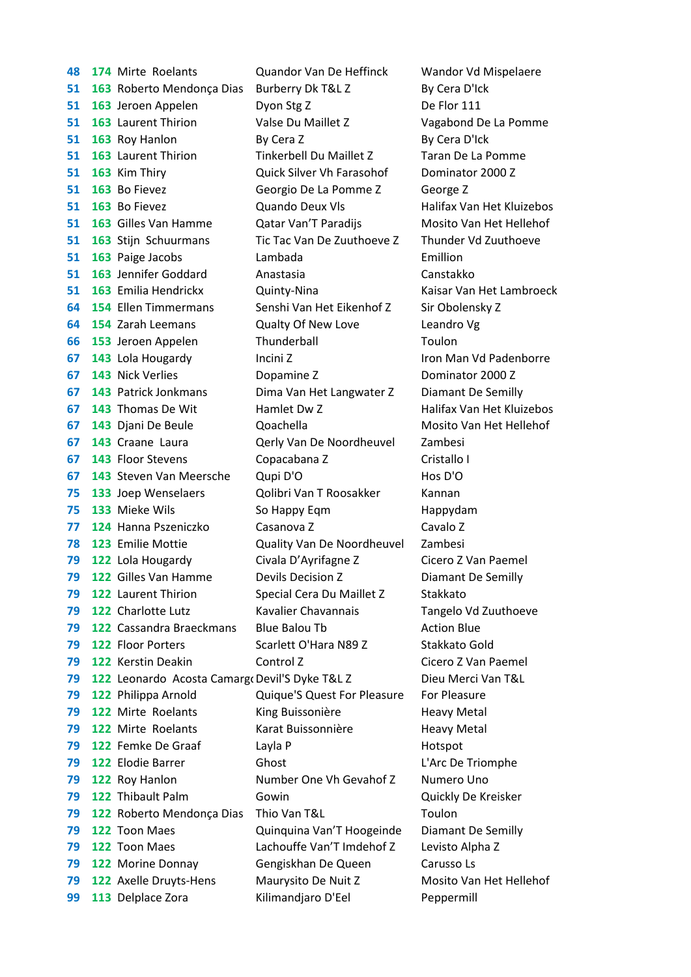**174** Mirte Roelants Quandor Van De Heffinck Wandor Vd Mispelaere **51 163** Roberto Mendonça Dias Burberry Dk T&L Z By Cera D'Ick **51 163** Jeroen Appelen Dyon Stg Z De Flor 111 **163** Laurent Thirion Valse Du Maillet Z Vagabond De La Pomme **51 163** Roy Hanlon By Cera Z By Cera D'Ick **163** Laurent Thirion Tinkerbell Du Maillet Z Taran De La Pomme **163** Kim Thiry Quick Silver Vh Farasohof Dominator 2000 Z **163** Bo Fievez Georgio De La Pomme Z George Z **51 163** Bo Fievez **Cuando Deux VIs** Halifax Van Het Kluizebos **163** Gilles Van Hamme Qatar Van'T Paradijs Mosito Van Het Hellehof **163** Stijn Schuurmans Tic Tac Van De Zuuthoeve Z Thunder Vd Zuuthoeve **163** Paige Jacobs Lambada Emillion **163** Jennifer Goddard Anastasia Canstakko **51 163** Emilia Hendrickx **Quinty-Nina** Kaisar Van Het Lambroeck **64 154 Ellen Timmermans Senshi Van Het Eikenhof Z Sir Obolensky Z 154** Zarah Leemans Qualty Of New Love Leandro Vg **66 153** Jeroen Appelen Thunderball Toulon **143** Lola Hougardy Incini Z Iron Man Vd Padenborre **143** Nick Verlies Dopamine Z Dominator 2000 Z **143** Patrick Jonkmans Dima Van Het Langwater Z Diamant De Semilly **67 143** Thomas De Wit Hamlet Dw Z Halifax Van Het Kluizebos **143** Djani De Beule Qoachella Mosito Van Het Hellehof **143** Craane Laura Qerly Van De Noordheuvel Zambesi **67 143** Floor Stevens Copacabana Z Cristallo I **143** Steven Van Meersche Qupi D'O Hos D'O **133** Joep Wenselaers Qolibri Van T Roosakker Kannan **133** Mieke Wils So Happy Eqm Happydam **124** Hanna Pszeniczko Casanova Z Cavalo Z **123** Emilie Mottie Quality Van De Noordheuvel Zambesi **122** Lola Hougardy Civala D'Ayrifagne Z Cicero Z Van Paemel **122** Gilles Van Hamme Devils Decision Z Diamant De Semilly **79 122 Laurent Thirion Special Cera Du Maillet Z Stakkato 122** Charlotte Lutz Kavalier Chavannais Tangelo Vd Zuuthoeve **122** Cassandra Braeckmans Blue Balou Tb Action Blue **79 122 Floor Porters Scarlett O'Hara N89 Z Stakkato Gold 122** Kerstin Deakin Control Z Cicero Z Van Paemel **79 122** Leonardo Acosta Camargo Devil'S Dyke T&L Z Dieu Merci Van T&L **122** Philippa Arnold Quique'S Quest For Pleasure For Pleasure **79 122** Mirte Roelants King Buissonière Heavy Metal **79 122** Mirte Roelants Karat Buissonnière Heavy Metal **79 122** Femke De Graaf Layla P Hotspot **122** Elodie Barrer Ghost L'Arc De Triomphe **79 122** Roy Hanlon Number One Vh Gevahof Z Numero Uno **122** Thibault Palm Gowin Quickly De Kreisker **79 122** Roberto Mendonça Dias Thio Van T&L Toulon **122** Toon Maes Quinquina Van'T Hoogeinde Diamant De Semilly **122** Toon Maes Lachouffe Van'T Imdehof Z Levisto Alpha Z **122** Morine Donnay Gengiskhan De Queen Carusso Ls **122** Axelle Druyts-Hens Maurysito De Nuit Z Mosito Van Het Hellehof **99 113** Delplace Zora **Kilimandjaro D'Eel** Peppermill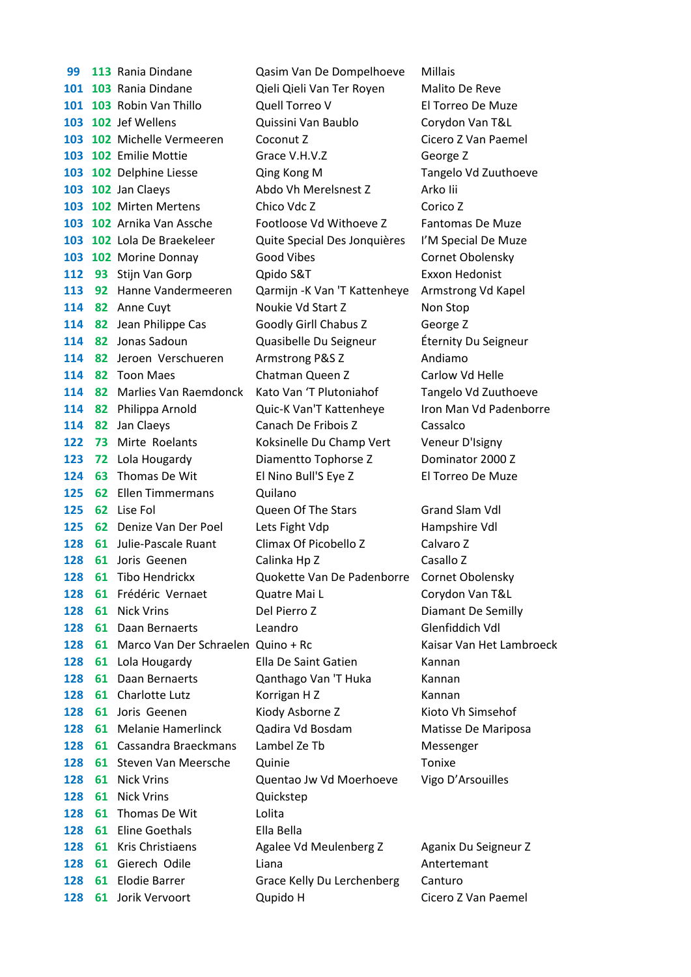**113** Rania Dindane Qasim Van De Dompelhoeve Millais **103** Rania Dindane Qieli Qieli Van Ter Royen Malito De Reve **103** Robin Van Thillo Quell Torreo V El Torreo De Muze **102** Jef Wellens Quissini Van Baublo Corydon Van T&L **103 102** Michelle Vermeeren Coconut Z Cicero Z Van Paemel **102** Emilie Mottie **Grace V.H.V.Z George Z 102** Delphine Liesse Qing Kong M Tangelo Vd Zuuthoeve **102** Jan Claeys **Abdo Vh Merelsnest Z** Arko Iii **102** Mirten Mertens Chico Vdc Z Corico Z **102** Arnika Van Assche Footloose Vd Withoeve Z Fantomas De Muze **102** Lola De Braekeleer Quite Special Des Jonquières I'M Special De Muze **103 102** Morine Donnay Good Vibes Cornet Obolensky **112 93** Stijn Van Gorp Qpido S&T Exxon Hedonist **92** Hanne Vandermeeren Qarmijn -K Van 'T Kattenheye Armstrong Vd Kapel **114 82** Anne Cuyt Noukie Vd Start Z Non Stop **114 82** Jean Philippe Cas Goodly Girll Chabus Z George Z **82** Jonas Sadoun Quasibelle Du Seigneur Éternity Du Seigneur **82** Jeroen Verschueren Armstrong P&S Z Andiamo **114 82 Toon Maes Chatman Queen Z Carlow Vd Helle 82** Marlies Van Raemdonck Kato Van 'T Plutoniahof Tangelo Vd Zuuthoeve **82** Philippa Arnold Quic-K Van'T Kattenheye Iron Man Vd Padenborre **82** Jan Claeys Canach De Fribois Z Cassalco **73** Mirte Roelants Koksinelle Du Champ Vert Veneur D'Isigny **123 72 Lola Hougardy Diamentto Tophorse Z Dominator 2000 Z 63** Thomas De Wit El Nino Bull'S Eye Z El Torreo De Muze **62** Ellen Timmermans Quilano **62** Lise Fol Queen Of The Stars Grand Slam Vdl **62** Denize Van Der Poel Lets Fight Vdp Hampshire Vdl **61** Julie-Pascale Ruant Climax Of Picobello Z Calvaro Z **61** Joris Geenen Calinka Hp Z Casallo Z **61** Tibo Hendrickx Quokette Van De Padenborre Cornet Obolensky **61** Frédéric Vernaet Quatre Mai L Corydon Van T&L **61** Nick Vrins Del Pierro Z Diamant De Semilly **61** Daan Bernaerts Leandro Glenfiddich Vdl **128 61 Marco Van Der Schraelen Quino + Rc Kaisar Van Het Lambroeck 128 61 Lola Hougardy Ella De Saint Gatien Kannan** 128 61 Daan Bernaerts **Qanthago Van 'T Huka** Kannan **128 61 Charlotte Lutz** Korrigan H Z Kannan **61** Joris Geenen Kiody Asborne Z Kioto Vh Simsehof **128 61 Melanie Hamerlinck Cadira Vd Bosdam Matisse De Mariposa 61** Cassandra Braeckmans Lambel Ze Tb Messenger **128 61 Steven Van Meersche Quinie Communist Communist Communist Communist Communist Communist Communist Communist Communist Communist Communist Communist Communist Communist Communist Communist Communist Communist Communi 61** Nick Vrins Quentao Jw Vd Moerhoeve Vigo D'Arsouilles **61** Nick Vrins Quickstep **61** Thomas De Wit Lolita **61** Eline Goethals Ella Bella **61** Kris Christiaens Agalee Vd Meulenberg Z Aganix Du Seigneur Z **128 61 Gierech Odile** Liana **Communist Liana** Antertemant 128 61 Elodie Barrer Grace Kelly Du Lerchenberg Canturo **128 61 Jorik Vervoort Cupido H** Cicero Z Van Paemel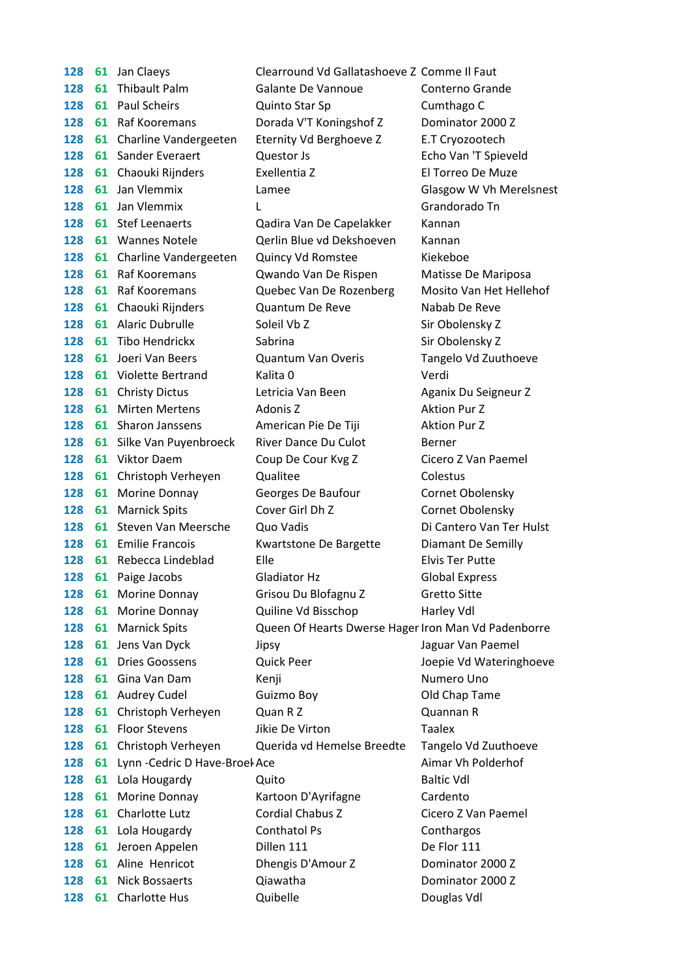| 128 |    | 61 Jan Claeys                  | Clearround Vd Gallatashoeve Z Comme Il Faut         |                          |
|-----|----|--------------------------------|-----------------------------------------------------|--------------------------|
| 128 | 61 | <b>Thibault Palm</b>           | Galante De Vannoue                                  | Conterno Grande          |
| 128 |    | 61 Paul Scheirs                | Quinto Star Sp                                      | Cumthago C               |
| 128 | 61 | Raf Kooremans                  | Dorada V'T Koningshof Z                             | Dominator 2000 Z         |
| 128 | 61 | Charline Vandergeeten          | Eternity Vd Berghoeve Z                             | E.T Cryozootech          |
| 128 |    | 61 Sander Everaert             | Questor Js                                          | Echo Van 'T Spieveld     |
| 128 |    | 61 Chaouki Rijnders            | Exellentia Z                                        | El Torreo De Muze        |
| 128 | 61 | Jan Vlemmix                    | Lamee                                               | Glasgow W Vh Merelsnest  |
| 128 | 61 | Jan Vlemmix                    | L                                                   | Grandorado Tn            |
| 128 |    | 61 Stef Leenaerts              | Qadira Van De Capelakker                            | Kannan                   |
| 128 |    | 61 Wannes Notele               | Qerlin Blue vd Dekshoeven                           | Kannan                   |
| 128 |    | 61 Charline Vandergeeten       | Quincy Vd Romstee                                   | Kiekeboe                 |
| 128 |    | 61 Raf Kooremans               | Qwando Van De Rispen                                | Matisse De Mariposa      |
| 128 | 61 | Raf Kooremans                  | Quebec Van De Rozenberg                             | Mosito Van Het Hellehof  |
| 128 |    | 61 Chaouki Rijnders            | Quantum De Reve                                     | Nabab De Reve            |
| 128 |    | 61 Alaric Dubrulle             | Soleil Vb Z                                         | Sir Obolensky Z          |
| 128 |    | 61 Tibo Hendrickx              | Sabrina                                             | Sir Obolensky Z          |
| 128 |    | 61 Joeri Van Beers             | <b>Quantum Van Overis</b>                           | Tangelo Vd Zuuthoeve     |
| 128 |    | 61 Violette Bertrand           | Kalita <sub>0</sub>                                 | Verdi                    |
| 128 |    | 61 Christy Dictus              | Letricia Van Been                                   | Aganix Du Seigneur Z     |
| 128 | 61 | <b>Mirten Mertens</b>          | Adonis Z                                            | <b>Aktion Pur Z</b>      |
| 128 |    | 61 Sharon Janssens             | American Pie De Tiji                                | <b>Aktion Pur Z</b>      |
| 128 | 61 | Silke Van Puyenbroeck          | River Dance Du Culot                                | Berner                   |
| 128 |    | 61 Viktor Daem                 | Coup De Cour Kvg Z                                  | Cicero Z Van Paemel      |
| 128 |    | 61 Christoph Verheyen          | Qualitee                                            | Colestus                 |
| 128 | 61 | Morine Donnay                  | Georges De Baufour                                  | Cornet Obolensky         |
| 128 | 61 | <b>Marnick Spits</b>           | Cover Girl Dh Z                                     | Cornet Obolensky         |
| 128 | 61 | Steven Van Meersche            | Quo Vadis                                           | Di Cantero Van Ter Hulst |
| 128 |    | <b>61</b> Emilie Francois      | Kwartstone De Bargette                              | Diamant De Semilly       |
| 128 | 61 | Rebecca Lindeblad              | Elle                                                | <b>Elvis Ter Putte</b>   |
| 128 | 61 | Paige Jacobs                   | <b>Gladiator Hz</b>                                 | <b>Global Express</b>    |
| 128 |    | 61 Morine Donnay               | Grisou Du Blofagnu Z                                | <b>Gretto Sitte</b>      |
| 128 | 61 | Morine Donnay                  | Quiline Vd Bisschop                                 | Harley Vdl               |
| 128 | 61 | <b>Marnick Spits</b>           | Queen Of Hearts Dwerse Hager Iron Man Vd Padenborre |                          |
| 128 | 61 | Jens Van Dyck                  | Jipsy                                               | Jaguar Van Paemel        |
| 128 | 61 | <b>Dries Goossens</b>          | <b>Quick Peer</b>                                   | Joepie Vd Wateringhoeve  |
| 128 | 61 | Gina Van Dam                   | Kenji                                               | Numero Uno               |
| 128 | 61 | <b>Audrey Cudel</b>            | Guizmo Boy                                          | Old Chap Tame            |
| 128 | 61 | Christoph Verheyen             | Quan R Z                                            | Quannan R                |
| 128 | 61 | <b>Floor Stevens</b>           | Jikie De Virton                                     | <b>Taalex</b>            |
| 128 |    | 61 Christoph Verheyen          | Querida vd Hemelse Breedte                          | Tangelo Vd Zuuthoeve     |
| 128 | 61 | Lynn - Cedric D Have-Broel Ace |                                                     | Aimar Vh Polderhof       |
| 128 | 61 | Lola Hougardy                  | Quito                                               | <b>Baltic Vdl</b>        |
| 128 | 61 | Morine Donnay                  | Kartoon D'Ayrifagne                                 | Cardento                 |
| 128 | 61 | Charlotte Lutz                 | Cordial Chabus Z                                    | Cicero Z Van Paemel      |
| 128 |    | 61 Lola Hougardy               | Conthatol Ps                                        | Conthargos               |
| 128 | 61 | Jeroen Appelen                 | Dillen 111                                          | De Flor 111              |
| 128 | 61 | Aline Henricot                 | Dhengis D'Amour Z                                   | Dominator 2000 Z         |
| 128 | 61 | Nick Bossaerts                 | Qiawatha                                            | Dominator 2000 Z         |
| 128 | 61 | <b>Charlotte Hus</b>           | Quibelle                                            | Douglas Vdl              |
|     |    |                                |                                                     |                          |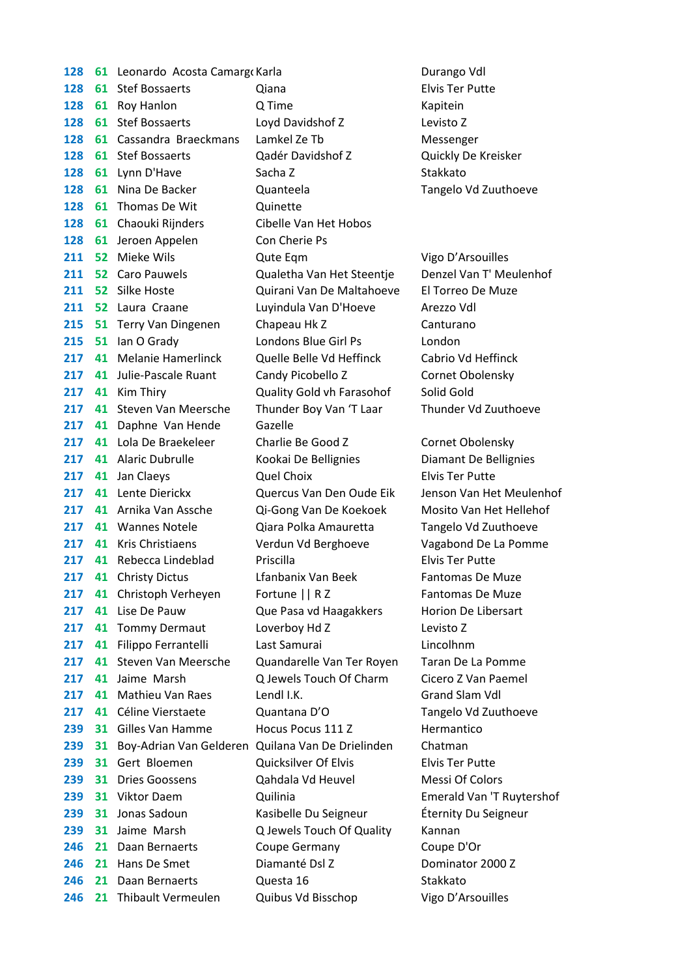**128 61 Leonardo Acosta Camargo Karla Narraya Leonardo Acosta Camargo Karla Leonardo Vdl 61** Stef Bossaerts Qiana Elvis Ter Putte **128 61 Roy Hanlon** Q Time **COM COMPONE COMPONE CONTRACT CONTRACT CONTRACT CONTRACT CONTRACT CONTRACT CONTRACT CONTRACT CONTRACT CONTRACT CONTRACT CONTRACT CONTRACT CONTRACT CONTRACT CONTRACT CONTRACT CONTRACT CONTRACT C 61** Stef Bossaerts Loyd Davidshof Z Levisto Z **61** Cassandra Braeckmans Lamkel Ze Tb Messenger **61** Stef Bossaerts Qadér Davidshof Z Quickly De Kreisker **128 61** Lynn D'Have Sacha Z Stakkato **61** Nina De Backer Quanteela Tangelo Vd Zuuthoeve **128 61 Thomas De Wit** Quinette **128 61 Chaouki Rijnders Cibelle Van Het Hobos 128 61** Jeroen Appelen Con Cherie Ps **211 52 Mieke Wils Cute Eqm Cute Form Vigo D'Arsouilles 52** Caro Pauwels Qualetha Van Het Steentje Denzel Van T' Meulenhof **52** Silke Hoste Quirani Van De Maltahoeve El Torreo De Muze **52** Laura Craane Luyindula Van D'Hoeve Arezzo Vdl **51** Terry Van Dingenen Chapeau Hk Z Canturano **51** Ian O Grady Londons Blue Girl Ps London **41** Melanie Hamerlinck Quelle Belle Vd Heffinck Cabrio Vd Heffinck **41** Julie-Pascale Ruant Candy Picobello Z Cornet Obolensky **41** Kim Thiry **Quality Gold vh Farasohof** Solid Gold **41** Steven Van Meersche Thunder Boy Van 'T Laar Thunder Vd Zuuthoeve **41** Daphne Van Hende Gazelle **41** Lola De Braekeleer Charlie Be Good Z Cornet Obolensky **41** Alaric Dubrulle Kookai De Bellignies Diamant De Bellignies **217 41** Jan Claeys **Quel Choix** Cuel Choix Elvis Ter Putte **41** Lente Dierickx Quercus Van Den Oude Eik Jenson Van Het Meulenhof **41** Arnika Van Assche Qi-Gong Van De Koekoek Mosito Van Het Hellehof **41** Wannes Notele Qiara Polka Amauretta Tangelo Vd Zuuthoeve **41** Kris Christiaens Verdun Vd Berghoeve Vagabond De La Pomme **41** Rebecca Lindeblad Priscilla Elvis Ter Putte **217 41** Christy Dictus Lfanbanix Van Beek Fantomas De Muze **217 41** Christoph Verheyen Fortune || R Z Fantomas De Muze **41** Lise De Pauw Que Pasa vd Haagakkers Horion De Libersart **41** Tommy Dermaut Loverboy Hd Z Levisto Z **41** Filippo Ferrantelli Last Samurai Lincolhnm **41** Steven Van Meersche Quandarelle Van Ter Royen Taran De La Pomme **41** Jaime Marsh Q Jewels Touch Of Charm Cicero Z Van Paemel **41** Mathieu Van Raes Lendl I.K. Canad Slam Vdl **41** Céline Vierstaete Quantana D'O Tangelo Vd Zuuthoeve **239 31 Gilles Van Hamme Hocus Pocus 111 Z Hermantico 31** Boy-Adrian Van Gelderen Quilana Van De Drielinden Chatman **31** Gert Bloemen Quicksilver Of Elvis Elvis Ter Putte **31** Dries Goossens Qahdala Vd Heuvel Messi Of Colors **31** Viktor Daem Quilinia Emerald Van 'T Ruytershof **31** Jonas Sadoun Kasibelle Du Seigneur Éternity Du Seigneur **239 31** Jaime Marsh **Q Jewels Touch Of Quality** Kannan **21** Daan Bernaerts Coupe Germany Coupe D'Or **246 21 Hans De Smet Diamanté Dsl Z Dominator 2000 Z 21** Daan Bernaerts **Questa 16** Stakkato **21** Thibault Vermeulen Quibus Vd Bisschop Vigo D'Arsouilles